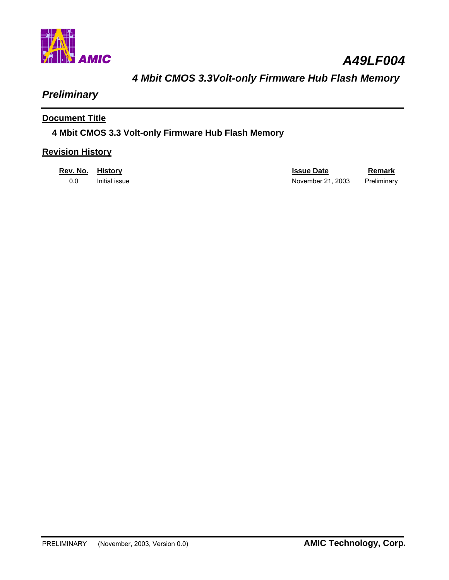

*A49LF004* 

# *4 Mbit CMOS 3.3Volt-only Firmware Hub Flash Memory*

# *Preliminary*

### **Document Title**

### **4 Mbit CMOS 3.3 Volt-only Firmware Hub Flash Memory**

### **Revision History**

| Rev. No. | History       | <b>Issue Date</b> | Remark      |
|----------|---------------|-------------------|-------------|
| 0.0      | Initial issue | November 21, 2003 | Preliminary |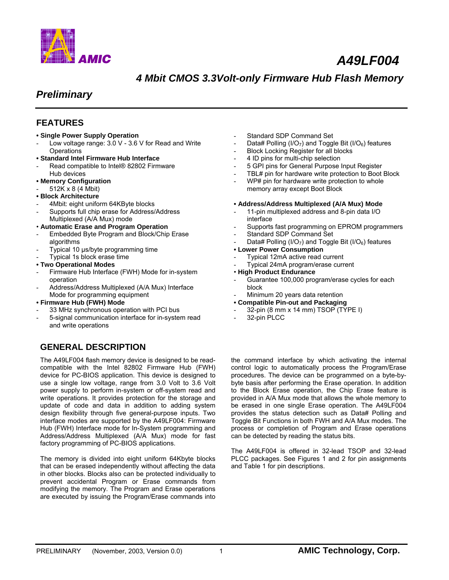

# *A49LF004*

## *4 Mbit CMOS 3.3Volt-only Firmware Hub Flash Memory*

## *Preliminary*

### **FEATURES**

#### **• Single Power Supply Operation**

- Low voltage range: 3.0 V 3.6 V for Read and Write **Operations**
- **Standard Intel Firmware Hub Interface**
- Read compatible to Intel® 82802 Firmware Hub devices
- **Memory Configuration**
- 512K x 8 (4 Mbit)

#### **• Block Architecture**

- 4Mbit: eight uniform 64KByte blocks
- Supports full chip erase for Address/Address
- Multiplexed (A/A Mux) mode
- **Automatic Erase and Program Operation**
- Embedded Byte Program and Block/Chip Erase algorithms
- Typical 10 µs/byte programming time
- Typical 1s block erase time

#### **• Two Operational Modes**

- Firmware Hub Interface (FWH) Mode for in-system operation
- Address/Address Multiplexed (A/A Mux) Interface Mode for programming equipment

#### **• Firmware Hub (FWH) Mode**

- 33 MHz synchronous operation with PCI bus
- 5-signal communication interface for in-system read and write operations

### **GENERAL DESCRIPTION**

The A49LF004 flash memory device is designed to be readcompatible with the Intel 82802 Firmware Hub (FWH) device for PC-BIOS application. This device is designed to use a single low voltage, range from 3.0 Volt to 3.6 Volt power supply to perform in-system or off-system read and write operations. It provides protection for the storage and update of code and data in addition to adding system design flexibility through five general-purpose inputs. Two interface modes are supported by the A49LF004: Firmware Hub (FWH) Interface mode for In-System programming and Address/Address Multiplexed (A/A Mux) mode for fast factory programming of PC-BIOS applications.

The memory is divided into eight uniform 64Kbyte blocks that can be erased independently without affecting the data in other blocks. Blocks also can be protected individually to prevent accidental Program or Erase commands from modifying the memory. The Program and Erase operations are executed by issuing the Program/Erase commands into

- Standard SDP Command Set
- Data# Polling (I/O<sub>7</sub>) and Toggle Bit (I/O<sub>6</sub>) features
- Block Locking Register for all blocks
- 4 ID pins for multi-chip selection
- 5 GPI pins for General Purpose Input Register
- TBL# pin for hardware write protection to Boot Block
- WP# pin for hardware write protection to whole memory array except Boot Block

#### **• Address/Address Multiplexed (A/A Mux) Mode**

- 11-pin multiplexed address and 8-pin data I/O interface
- Supports fast programming on EPROM programmers
- Standard SDP Command Set
- Data# Polling (I/O<sub>7</sub>) and Toggle Bit (I/O<sub>6</sub>) features

#### **• Lower Power Consumption**

- Typical 12mA active read current
- Typical 24mA program/erase current
- **High Product Endurance**
- Guarantee 100,000 program/erase cycles for each block
- Minimum 20 years data retention
- **Compatible Pin-out and Packaging**
- 32-pin (8 mm x 14 mm) TSOP (TYPE I)
- 32-pin PLCC

the command interface by which activating the internal control logic to automatically process the Program/Erase procedures. The device can be programmed on a byte-bybyte basis after performing the Erase operation. In addition to the Block Erase operation, the Chip Erase feature is provided in A/A Mux mode that allows the whole memory to be erased in one single Erase operation. The A49LF004 provides the status detection such as Data# Polling and Toggle Bit Functions in both FWH and A/A Mux modes. The process or completion of Program and Erase operations can be detected by reading the status bits.

The A49LF004 is offered in 32-lead TSOP and 32-lead PLCC packages. See Figures 1 and 2 for pin assignments and Table 1 for pin descriptions.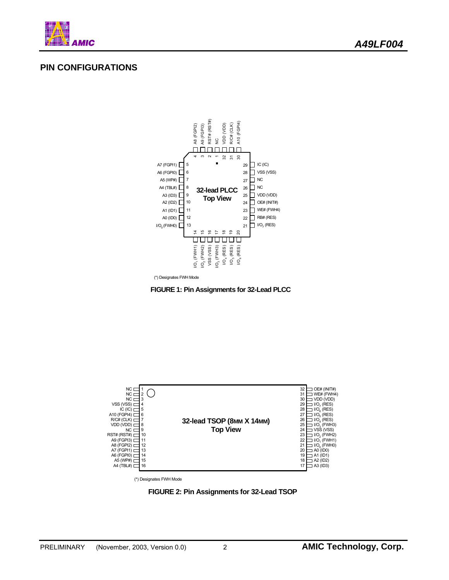

### **PIN CONFIGURATIONS**



(\*) Designates FWH Mode





(\*) Designates FWH Mode

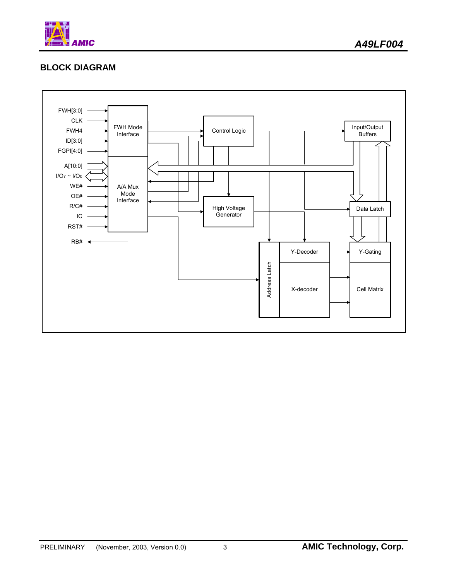

### **BLOCK DIAGRAM**

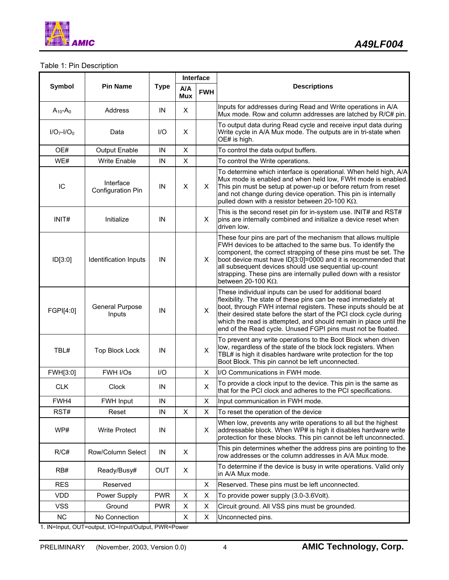

### Table 1: Pin Description

|                |                                |             |                | Interface  |                                                                                                                                                                                                                                                                                                                                                                                                                               |
|----------------|--------------------------------|-------------|----------------|------------|-------------------------------------------------------------------------------------------------------------------------------------------------------------------------------------------------------------------------------------------------------------------------------------------------------------------------------------------------------------------------------------------------------------------------------|
| Symbol         | <b>Pin Name</b>                | <b>Type</b> | A/A<br>Mux     | <b>FWH</b> | <b>Descriptions</b>                                                                                                                                                                                                                                                                                                                                                                                                           |
| $A_{10} - A_0$ | Address                        | IN          | X              |            | Inputs for addresses during Read and Write operations in A/A<br>Mux mode. Row and column addresses are latched by R/C# pin.                                                                                                                                                                                                                                                                                                   |
| $I/O7-I/O0$    | Data                           | I/O         | X              |            | To output data during Read cycle and receive input data during<br>Write cycle in A/A Mux mode. The outputs are in tri-state when<br>OE# is high.                                                                                                                                                                                                                                                                              |
| OE#            | Output Enable                  | IN          | X              |            | To control the data output buffers.                                                                                                                                                                                                                                                                                                                                                                                           |
| WE#            | <b>Write Enable</b>            | IN          | $\pmb{\times}$ |            | To control the Write operations.                                                                                                                                                                                                                                                                                                                                                                                              |
| IC             | Interface<br>Configuration Pin | IN          | X              | X.         | To determine which interface is operational. When held high, A/A<br>Mux mode is enabled and when held low, FWH mode is enabled.<br>This pin must be setup at power-up or before return from reset<br>and not change during device operation. This pin is internally<br>pulled down with a resistor between 20-100 K $\Omega$ .                                                                                                |
| INIT#          | Initialize                     | IN          |                | X.         | This is the second reset pin for in-system use. INIT# and RST#<br>pins are internally combined and initialize a device reset when<br>driven low.                                                                                                                                                                                                                                                                              |
| ID[3:0]        | Identification Inputs          | IN          |                | X.         | These four pins are part of the mechanism that allows multiple<br>FWH devices to be attached to the same bus. To identify the<br>component, the correct strapping of these pins must be set. The<br>boot device must have ID[3:0]=0000 and it is recommended that<br>all subsequent devices should use sequential up-count<br>strapping. These pins are internally pulled down with a resistor<br>between 20-100 K $\Omega$ . |
| FGPI[4:0]      | General Purpose<br>Inputs      | IN          |                | X          | These individual inputs can be used for additional board<br>flexibility. The state of these pins can be read immediately at<br>boot, through FWH internal registers. These inputs should be at<br>their desired state before the start of the PCI clock cycle during<br>which the read is attempted, and should remain in place until the<br>end of the Read cycle. Unused FGPI pins must not be floated.                     |
| TBL#           | <b>Top Block Lock</b>          | IN          |                | X          | To prevent any write operations to the Boot Block when driven<br>low, regardless of the state of the block lock registers. When<br>TBL# is high it disables hardware write protection for the top<br>Boot Block. This pin cannot be left unconnected.                                                                                                                                                                         |
| FWH[3:0]       | FWH I/Os                       | I/O         |                | X.         | I/O Communications in FWH mode.                                                                                                                                                                                                                                                                                                                                                                                               |
| <b>CLK</b>     | <b>Clock</b>                   | IN          |                | X          | To provide a clock input to the device. This pin is the same as<br>that for the PCI clock and adheres to the PCI specifications.                                                                                                                                                                                                                                                                                              |
| FWH4           | FWH Input                      | IN          |                | X          | Input communication in FWH mode.                                                                                                                                                                                                                                                                                                                                                                                              |
| RST#           | Reset                          | ΙN          | X              | X          | To reset the operation of the device                                                                                                                                                                                                                                                                                                                                                                                          |
| WP#            | <b>Write Protect</b>           | IN          |                | X.         | When low, prevents any write operations to all but the highest<br>addressable block. When WP# is high it disables hardware write<br>protection for these blocks. This pin cannot be left unconnected.                                                                                                                                                                                                                         |
| R/C#           | Row/Column Select              | IN          | X              |            | This pin determines whether the address pins are pointing to the<br>row addresses or the column addresses in A/A Mux mode.                                                                                                                                                                                                                                                                                                    |
| RB#            | Ready/Busy#                    | <b>OUT</b>  | X.             |            | To determine if the device is busy in write operations. Valid only<br>in A/A Mux mode.                                                                                                                                                                                                                                                                                                                                        |
| <b>RES</b>     | Reserved                       |             |                | X          | Reserved. These pins must be left unconnected.                                                                                                                                                                                                                                                                                                                                                                                |
| <b>VDD</b>     | Power Supply                   | <b>PWR</b>  | X              | Χ          | To provide power supply (3.0-3.6Volt).                                                                                                                                                                                                                                                                                                                                                                                        |
| <b>VSS</b>     | Ground                         | <b>PWR</b>  | X              | X          | Circuit ground. All VSS pins must be grounded.                                                                                                                                                                                                                                                                                                                                                                                |
| <b>NC</b>      | No Connection                  |             | X              | X          | Unconnected pins.                                                                                                                                                                                                                                                                                                                                                                                                             |

1. IN=Input, OUT=output, I/O=Input/Output, PWR=Power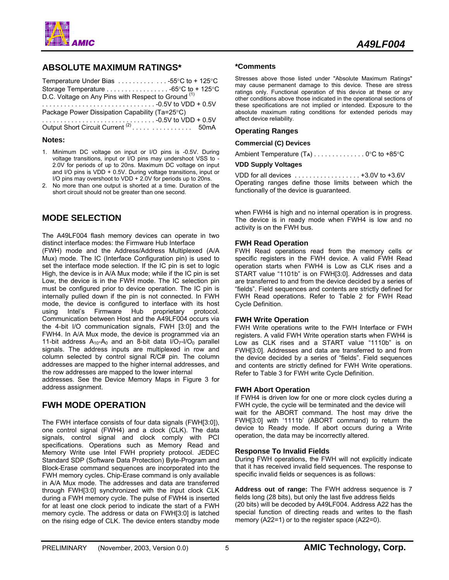

### **ABSOLUTE MAXIMUM RATINGS\***

| Temperature Under Bias $\ldots \ldots \ldots \ldots \ldots$ -55°C to + 125°C |  |
|------------------------------------------------------------------------------|--|
|                                                                              |  |
| D.C. Voltage on Any Pins with Respect to Ground (1)                          |  |
|                                                                              |  |
| Package Power Dissipation Capability (Ta=25°C)                               |  |
|                                                                              |  |
| Output Short Circuit Current <sup>(2)</sup> 50mA                             |  |

#### **Notes:**

- 1. Minimum DC voltage on input or I/O pins is -0.5V. During voltage transitions, input or I/O pins may undershoot VSS to - 2.0V for periods of up to 20ns. Maximum DC voltage on input and I/O pins is VDD + 0.5V. During voltage transitions, input or I/O pins may overshoot to VDD + 2.0V for periods up to 20ns.
- 2. No more than one output is shorted at a time. Duration of the short circuit should not be greater than one second.

### **MODE SELECTION**

The A49LF004 flash memory devices can operate in two distinct interface modes: the Firmware Hub Interface

(FWH) mode and the Address/Address Multiplexed (A/A Mux) mode. The IC (Interface Configuration pin) is used to set the interface mode selection. If the IC pin is set to logic High, the device is in A/A Mux mode; while if the IC pin is set Low, the device is in the FWH mode. The IC selection pin must be configured prior to device operation. The IC pin is internally pulled down if the pin is not connected. In FWH mode, the device is configured to interface with its host using Intel's Firmware Hub proprietary protocol. Communication between Host and the A49LF004 occurs via the 4-bit I/O communication signals, FWH [3:0] and the FWH4. In A/A Mux mode, the device is programmed via an 11-bit address  $A_{10}$ - $A_0$  and an 8-bit data  $I/O_7$ - $I/O_0$  parallel signals. The address inputs are multiplexed in row and column selected by control signal R/C# pin. The column addresses are mapped to the higher internal addresses, and the row addresses are mapped to the lower internal

addresses. See the Device Memory Maps in Figure 3 for address assignment.

### **FWH MODE OPERATION**

The FWH interface consists of four data signals (FWH[3:0]), one control signal (FWH4) and a clock (CLK). The data signals, control signal and clock comply with PCI specifications. Operations such as Memory Read and Memory Write use Intel FWH propriety protocol. JEDEC Standard SDP (Software Data Protection) Byte-Program and Block-Erase command sequences are incorporated into the FWH memory cycles. Chip-Erase command is only available in A/A Mux mode. The addresses and data are transferred through FWH[3:0] synchronized with the input clock CLK during a FWH memory cycle. The pulse of FWH4 is inserted for at least one clock period to indicate the start of a FWH memory cycle. The address or data on FWH[3:0] is latched on the rising edge of CLK. The device enters standby mode

#### **\*Comments**

Stresses above those listed under "Absolute Maximum Ratings" may cause permanent damage to this device. These are stress ratings only. Functional operation of this device at these or any other conditions above those indicated in the operational sections of these specifications are not implied or intended. Exposure to the absolute maximum rating conditions for extended periods may affect device reliability.

#### **Operating Ranges**

#### **Commercial (C) Devices**

Ambient Temperature (T<sub>A</sub>) . . . . . . . . . . . . . . 0°C to +85°C

#### **VDD Supply Voltages**

VDD for all devices . . . . . . . . . . . . . . . . . . +3.0V to +3.6V Operating ranges define those limits between which the functionally of the device is guaranteed.

when FWH4 is high and no internal operation is in progress. The device is in ready mode when FWH4 is low and no activity is on the FWH bus.

#### **FWH Read Operation**

FWH Read operations read from the memory cells or specific registers in the FWH device. A valid FWH Read operation starts when FWH4 is Low as CLK rises and a START value "1101b" is on FWH[3:0]. Addresses and data are transferred to and from the device decided by a series of "fields". Field sequences and contents are strictly defined for FWH Read operations. Refer to Table 2 for FWH Read Cycle Definition.

#### **FWH Write Operation**

FWH Write operations write to the FWH Interface or FWH registers. A valid FWH Write operation starts when FWH4 is Low as CLK rises and a START value "1110b" is on FWH[3:0]. Addresses and data are transferred to and from the device decided by a series of "fields". Field sequences and contents are strictly defined for FWH Write operations. Refer to Table 3 for FWH write Cycle Definition.

#### **FWH Abort Operation**

If FWH4 is driven low for one or more clock cycles during a FWH cycle, the cycle will be terminated and the device will wait for the ABORT command. The host may drive the FWH[3:0] with '1111b' (ABORT command) to return the device to Ready mode. If abort occurs during a Write operation, the data may be incorrectly altered.

#### **Response To Invalid Fields**

During FWH operations, the FWH will not explicitly indicate that it has received invalid field sequences. The response to specific invalid fields or sequences is as follows:

**Address out of range:** The FWH address sequence is 7 fields long (28 bits), but only the last five address fields (20 bits) will be decoded by A49LF004. Address A22 has the special function of directing reads and writes to the flash memory (A22=1) or to the register space (A22=0).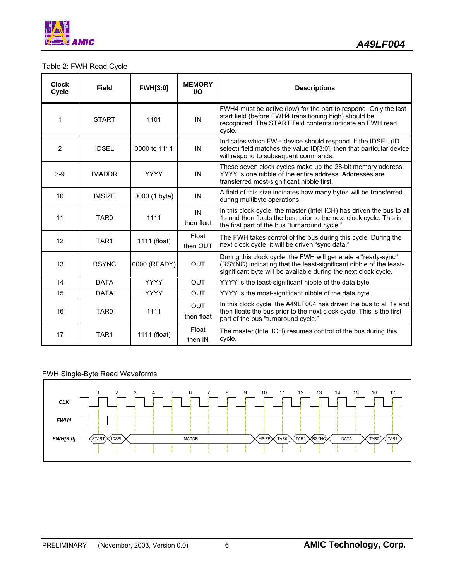

### Table 2: FWH Read Cycle

| <b>Clock</b><br>Cycle | <b>Field</b>     | <b>FWH[3:0]</b> | <b>MEMORY</b><br><b>VO</b> | <b>Descriptions</b>                                                                                                                                                                                    |
|-----------------------|------------------|-----------------|----------------------------|--------------------------------------------------------------------------------------------------------------------------------------------------------------------------------------------------------|
| 1                     | <b>START</b>     | 1101            | IN                         | FWH4 must be active (low) for the part to respond. Only the last<br>start field (before FWH4 transitioning high) should be<br>recognized. The START field contents indicate an FWH read<br>cycle.      |
| 2                     | <b>IDSEL</b>     | 0000 to 1111    | IN                         | Indicates which FWH device should respond. If the IDSEL (ID<br>select) field matches the value ID[3:0], then that particular device<br>will respond to subsequent commands.                            |
| $3-9$                 | <b>IMADDR</b>    | <b>YYYY</b>     | IN                         | These seven clock cycles make up the 28-bit memory address.<br>YYYY is one nibble of the entire address. Addresses are<br>transferred most-significant nibble first.                                   |
| 10                    | <b>IMSIZE</b>    | 0000 (1 byte)   | IN                         | A field of this size indicates how many bytes will be transferred<br>during multibyte operations.                                                                                                      |
| 11                    | TAR <sub>0</sub> | 1111            | IN<br>then float           | In this clock cycle, the master (Intel ICH) has driven the bus to all<br>1s and then floats the bus, prior to the next clock cycle. This is<br>the first part of the bus "turnaround cycle."           |
| 12                    | TAR <sub>1</sub> | 1111 (float)    | Float<br>then OUT          | The FWH takes control of the bus during this cycle. During the<br>next clock cycle, it will be driven "sync data."                                                                                     |
| 13                    | <b>RSYNC</b>     | 0000 (READY)    | <b>OUT</b>                 | During this clock cycle, the FWH will generate a "ready-sync"<br>(RSYNC) indicating that the least-significant nibble of the least-<br>significant byte will be available during the next clock cycle. |
| 14                    | <b>DATA</b>      | <b>YYYY</b>     | <b>OUT</b>                 | YYYY is the least-significant nibble of the data byte.                                                                                                                                                 |
| 15                    | <b>DATA</b>      | <b>YYYY</b>     | <b>OUT</b>                 | YYYY is the most-significant nibble of the data byte.                                                                                                                                                  |
| 16                    | TAR <sub>0</sub> | 1111            | <b>OUT</b><br>then float   | In this clock cycle, the A49LF004 has driven the bus to all 1s and<br>then floats the bus prior to the next clock cycle. This is the first<br>part of the bus "turnaround cycle."                      |
| 17                    | TAR <sub>1</sub> | 1111 (float)    | Float<br>then IN           | The master (Intel ICH) resumes control of the bus during this<br>cycle.                                                                                                                                |

### FWH Single-Byte Read Waveforms

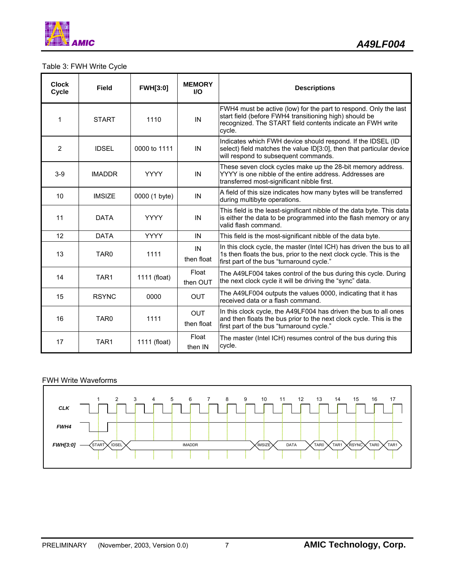

# Table 3: FWH Write Cycle

| <b>Clock</b><br>Cycle | <b>Field</b>     | <b>FWH[3:0]</b> | <b>MEMORY</b><br><b>I/O</b> | <b>Descriptions</b>                                                                                                                                                                                |
|-----------------------|------------------|-----------------|-----------------------------|----------------------------------------------------------------------------------------------------------------------------------------------------------------------------------------------------|
| 1                     | <b>START</b>     | 1110            | IN                          | FWH4 must be active (low) for the part to respond. Only the last<br>start field (before FWH4 transitioning high) should be<br>recognized. The START field contents indicate an FWH write<br>cycle. |
| 2                     | <b>IDSEL</b>     | 0000 to 1111    | IN                          | Indicates which FWH device should respond. If the IDSEL (ID<br>select) field matches the value ID[3:0], then that particular device<br>will respond to subsequent commands.                        |
| $3-9$                 | <b>IMADDR</b>    | <b>YYYY</b>     | IN                          | These seven clock cycles make up the 28-bit memory address.<br>YYYY is one nibble of the entire address. Addresses are<br>transferred most-significant nibble first.                               |
| 10                    | <b>IMSIZE</b>    | 0000 (1 byte)   | IN                          | A field of this size indicates how many bytes will be transferred<br>during multibyte operations.                                                                                                  |
| 11                    | <b>DATA</b>      | <b>YYYY</b>     | IN                          | This field is the least-significant nibble of the data byte. This data<br>is either the data to be programmed into the flash memory or any<br>valid flash command.                                 |
| 12                    | <b>DATA</b>      | <b>YYYY</b>     | IN                          | This field is the most-significant nibble of the data byte.                                                                                                                                        |
| 13                    | TAR <sub>0</sub> | 1111            | IN<br>then float            | In this clock cycle, the master (Intel ICH) has driven the bus to all<br>1s then floats the bus, prior to the next clock cycle. This is the<br>first part of the bus "turnaround cycle."           |
| 14                    | TAR <sub>1</sub> | 1111 (float)    | Float<br>then OUT           | The A49LF004 takes control of the bus during this cycle. During<br>the next clock cycle it will be driving the "sync" data.                                                                        |
| 15                    | <b>RSYNC</b>     | 0000            | <b>OUT</b>                  | The A49LF004 outputs the values 0000, indicating that it has<br>received data or a flash command.                                                                                                  |
| 16                    | TAR <sub>0</sub> | 1111            | <b>OUT</b><br>then float    | In this clock cycle, the A49LF004 has driven the bus to all ones<br>and then floats the bus prior to the next clock cycle. This is the<br>first part of the bus "turnaround cycle."                |
| 17                    | TAR1             | 1111 (float)    | Float<br>then IN            | The master (Intel ICH) resumes control of the bus during this<br>cycle.                                                                                                                            |

### FWH Write Waveforms

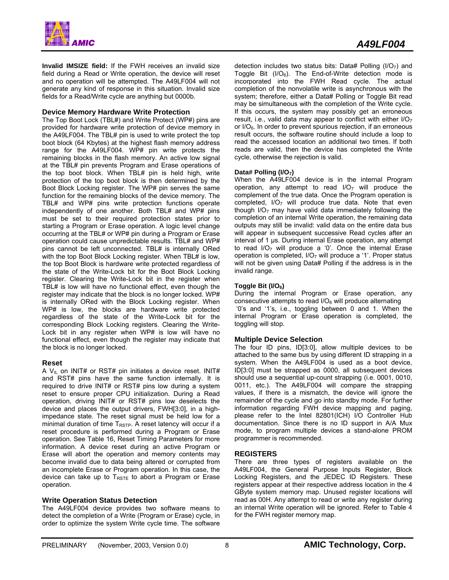

**Invalid IMSIZE field:** If the FWH receives an invalid size field during a Read or Write operation, the device will reset and no operation will be attempted. The A49LF004 will not generate any kind of response in this situation. Invalid size fields for a Read/Write cycle are anything but 0000b.

#### **Device Memory Hardware Write Protection**

The Top Boot Lock (TBL#) and Write Protect (WP#) pins are provided for hardware write protection of device memory in the A49LF004. The TBL# pin is used to write protect the top boot block (64 Kbytes) at the highest flash memory address range for the A49LF004. WP# pin write protects the remaining blocks in the flash memory. An active low signal at the TBL# pin prevents Program and Erase operations of the top boot block. When TBL# pin is held high, write protection of the top boot block is then determined by the Boot Block Locking register. The WP# pin serves the same function for the remaining blocks of the device memory. The TBL# and WP# pins write protection functions operate independently of one another. Both TBL# and WP# pins must be set to their required protection states prior to starting a Program or Erase operation. A logic level change occurring at the TBL# or WP# pin during a Program or Erase operation could cause unpredictable results. TBL# and WP# pins cannot be left unconnected. TBL# is internally ORed with the top Boot Block Locking register. When TBL# is low, the top Boot Block is hardware write protected regardless of the state of the Write-Lock bit for the Boot Block Locking register. Clearing the Write-Lock bit in the register when TBL# is low will have no functional effect, even though the register may indicate that the block is no longer locked. WP# is internally ORed with the Block Locking register. When WP# is low, the blocks are hardware write protected regardless of the state of the Write-Lock bit for the corresponding Block Locking registers. Clearing the Write-Lock bit in any register when WP# is low will have no functional effect, even though the register may indicate that the block is no longer locked.

#### **Reset**

A  $V_{IL}$  on INIT# or RST# pin initiates a device reset. INIT# and RST# pins have the same function internally. It is required to drive INIT# or RST# pins low during a system reset to ensure proper CPU initialization. During a Read operation, driving INIT# or RST# pins low deselects the device and places the output drivers, FWH[3:0], in a highimpedance state. The reset signal must be held low for a minimal duration of time  $T_{RSTP}$ . A reset latency will occur if a reset procedure is performed during a Program or Erase operation. See Table 16, Reset Timing Parameters for more information. A device reset during an active Program or Erase will abort the operation and memory contents may become invalid due to data being altered or corrupted from an incomplete Erase or Program operation. In this case, the device can take up to  $T_{RSTE}$  to abort a Program or Erase operation.

#### **Write Operation Status Detection**

The A49LF004 device provides two software means to detect the completion of a Write (Program or Erase) cycle, in order to optimize the system Write cycle time. The software

detection includes two status bits: Data# Polling  $(I/O<sub>7</sub>)$  and Toggle Bit  $(I/O<sub>6</sub>)$ . The End-of-Write detection mode is incorporated into the FWH Read cycle. The actual completion of the nonvolatile write is asynchronous with the system; therefore, either a Data# Polling or Toggle Bit read may be simultaneous with the completion of the Write cycle. If this occurs, the system may possibly get an erroneous result, i.e., valid data may appear to conflict with either  $I/O<sub>7</sub>$ or  $1/O<sub>6</sub>$ . In order to prevent spurious rejection, if an erroneous result occurs, the software routine should include a loop to read the accessed location an additional two times. If both reads are valid, then the device has completed the Write cycle, otherwise the rejection is valid.

#### Data# Polling (I/O<sub>7</sub>)

When the A49LF004 device is in the internal Program operation, any attempt to read  $I/O<sub>7</sub>$  will produce the complement of the true data. Once the Program operation is completed,  $I/O<sub>7</sub>$  will produce true data. Note that even though  $I/O<sub>7</sub>$  may have valid data immediately following the completion of an internal Write operation, the remaining data outputs may still be invalid: valid data on the entire data bus will appear in subsequent successive Read cycles after an interval of 1 µs. During internal Erase operation, any attempt to read  $I/O<sub>7</sub>$  will produce a '0'. Once the internal Erase operation is completed,  $I/O<sub>7</sub>$  will produce a '1'. Proper status will not be given using Data# Polling if the address is in the invalid range.

#### Toggle Bit (I/O<sub>6</sub>)

During the internal Program or Erase operation, any consecutive attempts to read  $1/O<sub>6</sub>$  will produce alternating '0's and '1's, i.e., toggling between 0 and 1. When the internal Program or Erase operation is completed, the toggling will stop.

#### **Multiple Device Selection**

The four ID pins, ID[3:0], allow multiple devices to be attached to the same bus by using different ID strapping in a system. When the A49LF004 is used as a boot device, ID[3:0] must be strapped as 0000, all subsequent devices should use a sequential up-count strapping (i.e. 0001, 0010, 0011, etc.). The A49LF004 will compare the strapping values, if there is a mismatch, the device will ignore the remainder of the cycle and go into standby mode. For further information regarding FWH device mapping and paging, please refer to the Intel 82801(ICH) I/O Controller Hub documentation. Since there is no ID support in A/A Mux mode, to program multiple devices a stand-alone PROM programmer is recommended.

#### **REGISTERS**

There are three types of registers available on the A49LF004, the General Purpose Inputs Register, Block Locking Registers, and the JEDEC ID Registers. These registers appear at their respective address location in the 4 GByte system memory map. Unused register locations will read as 00H. Any attempt to read or write any register during an internal Write operation will be ignored. Refer to Table 4 for the FWH register memory map.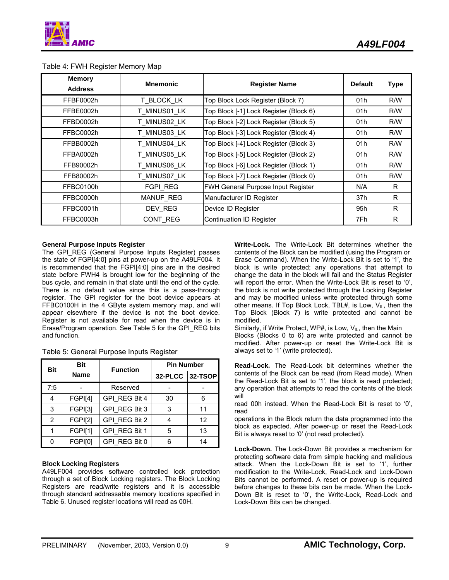| <b>Memory</b><br><b>Address</b> | <b>Mnemonic</b> | <b>Register Name</b>                      | <b>Default</b> | <b>Type</b> |
|---------------------------------|-----------------|-------------------------------------------|----------------|-------------|
| FFBF0002h                       | T BLOCK LK      | Top Block Lock Register (Block 7)         | 01h            | R/W         |
| FFBE0002h                       | T MINUS01 LK    | Top Block [-1] Lock Register (Block 6)    | 01h            | R/W         |
| FFBD0002h                       | T MINUS02 LK    | Top Block [-2] Lock Register (Block 5)    | 01h            | R/W         |
| FFBC0002h                       | T MINUS03 LK    | Top Block [-3] Lock Register (Block 4)    | 01h            | R/W         |
| FFBB0002h                       | T MINUS04 LK    | Top Block [-4] Lock Register (Block 3)    | 01h            | R/W         |
| FFBA0002h                       | T MINUS05 LK    | Top Block [-5] Lock Register (Block 2)    | 01h            | R/W         |
| FFB90002h                       | T MINUS06 LK    | Top Block [-6] Lock Register (Block 1)    | 01h            | R/W         |
| FFB80002h                       | T MINUS07 LK    | Top Block [-7] Lock Register (Block 0)    | 01h            | R/W         |
| FFBC0100h                       | FGPI REG        | <b>FWH General Purpose Input Register</b> | N/A            | R           |
| FFBC0000h                       | MANUF_REG       | Manufacturer ID Register                  | 37h            | R.          |
| FFBC0001h                       | DEV REG         | Device ID Register                        | 95h            | R           |
| FFBC0003h                       | CONT REG        | Continuation ID Register                  | 7Fh            | R           |

#### Table 4: FWH Register Memory Map

#### **General Purpose Inputs Register**

The GPI REG (General Purpose Inputs Register) passes the state of FGPI[4:0] pins at power-up on the A49LF004. It is recommended that the FGPI[4:0] pins are in the desired state before FWH4 is brought low for the beginning of the bus cycle, and remain in that state until the end of the cycle. There is no default value since this is a pass-through register. The GPI register for the boot device appears at FFBC0100H in the 4 GByte system memory map, and will appear elsewhere if the device is not the boot device. Register is not available for read when the device is in Erase/Program operation. See Table 5 for the GPI\_REG bits and function.

| <b>Bit</b>     | <b>Bit</b>  | <b>Function</b> | <b>Pin Number</b> |    |
|----------------|-------------|-----------------|-------------------|----|
|                | <b>Name</b> |                 | 32-PLCC 32-TSOP   |    |
| 7:5            |             | Reserved        |                   |    |
| 4              | FGPI[4]     | GPI REG Bit 4   | 30                | 6  |
| 3              | FGPI[3]     | GPI REG Bit 3   | 3                 | 11 |
| $\overline{2}$ | FGPI[2]     | GPI REG Bit 2   |                   | 12 |
|                | FGPI[1]     | GPI REG Bit 1   | 5                 | 13 |
| n              | FGPI[0]     | GPI REG Bit 0   |                   | 14 |

|  |  |  | Table 5: General Purpose Inputs Register |
|--|--|--|------------------------------------------|

#### **Block Locking Registers**

A49LF004 provides software controlled lock protection through a set of Block Locking registers. The Block Locking Registers are read/write registers and it is accessible through standard addressable memory locations specified in Table 6. Unused register locations will read as 00H.

**Write-Lock.** The Write-Lock Bit determines whether the contents of the Block can be modified (using the Program or Erase Command). When the Write-Lock Bit is set to '1', the block is write protected; any operations that attempt to change the data in the block will fail and the Status Register will report the error. When the Write-Lock Bit is reset to '0', the block is not write protected through the Locking Register and may be modified unless write protected through some other means. If Top Block Lock, TBL#, is Low,  $V_{IL}$ , then the Top Block (Block 7) is write protected and cannot be modified.

Similarly, if Write Protect, WP#, is Low,  $V_{\parallel L}$ , then the Main Blocks (Blocks 0 to 6) are write protected and cannot be modified. After power-up or reset the Write-Lock Bit is always set to '1' (write protected).

**Read-Lock.** The Read-Lock bit determines whether the contents of the Block can be read (from Read mode). When the Read-Lock Bit is set to '1', the block is read protected; any operation that attempts to read the contents of the block will

read 00h instead. When the Read-Lock Bit is reset to '0', read

operations in the Block return the data programmed into the block as expected. After power-up or reset the Read-Lock Bit is always reset to '0' (not read protected).

**Lock-Down.** The Lock-Down Bit provides a mechanism for protecting software data from simple hacking and malicious attack. When the Lock-Down Bit is set to '1', further modification to the Write-Lock, Read-Lock and Lock-Down Bits cannot be performed. A reset or power-up is required before changes to these bits can be made. When the Lock-Down Bit is reset to '0', the Write-Lock, Read-Lock and Lock-Down Bits can be changed.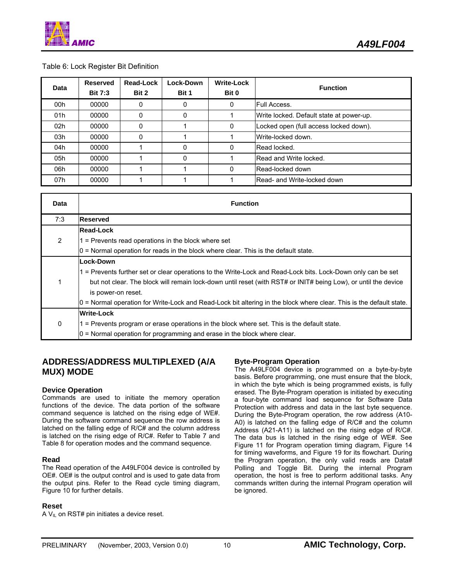

#### Table 6: Lock Register Bit Definition

| Data | <b>Reserved</b><br><b>Bit 7:3</b> | Read-Lock<br>Bit 2 | Lock-Down<br>Bit 1 | <b>Write-Lock</b><br>Bit 0 | <b>Function</b>                          |
|------|-----------------------------------|--------------------|--------------------|----------------------------|------------------------------------------|
| 00h  | 00000                             | 0                  | 0                  | 0                          | Full Access.                             |
| 01h  | 00000                             | 0                  | 0                  |                            | Write locked. Default state at power-up. |
| 02h  | 00000                             | 0                  |                    | 0                          | Locked open (full access locked down).   |
| 03h  | 00000                             | 0                  |                    |                            | Write-locked down.                       |
| 04h  | 00000                             |                    | 0                  | 0                          | <b>Read locked.</b>                      |
| 05h  | 00000                             |                    | 0                  |                            | Read and Write locked.                   |
| 06h  | 00000                             |                    |                    | 0                          | Read-locked down                         |
| 07h  | 00000                             |                    |                    |                            | <b>IRead- and Write-locked down</b>      |

| Data           | <b>Function</b>                                                                                                     |
|----------------|---------------------------------------------------------------------------------------------------------------------|
| 7:3            | <b>Reserved</b>                                                                                                     |
|                | <b>Read-Lock</b>                                                                                                    |
| $\overline{2}$ | $1$ = Prevents read operations in the block where set                                                               |
|                | $0 =$ Normal operation for reads in the block where clear. This is the default state.                               |
|                | Lock-Down                                                                                                           |
|                | 1 = Prevents further set or clear operations to the Write-Lock and Read-Lock bits. Lock-Down only can be set        |
|                | but not clear. The block will remain lock-down until reset (with RST# or INIT# being Low), or until the device      |
|                | is power-on reset.                                                                                                  |
|                | 0 = Normal operation for Write-Lock and Read-Lock bit altering in the block where clear. This is the default state. |
|                | <b>Write-Lock</b>                                                                                                   |
| 0              | 1 = Prevents program or erase operations in the block where set. This is the default state.                         |
|                | 0 = Normal operation for programming and erase in the block where clear.                                            |

### **ADDRESS/ADDRESS MULTIPLEXED (A/A MUX) MODE**

#### **Device Operation**

Commands are used to initiate the memory operation functions of the device. The data portion of the software command sequence is latched on the rising edge of WE#. During the software command sequence the row address is latched on the falling edge of R/C# and the column address is latched on the rising edge of R/C#. Refer to Table 7 and Table 8 for operation modes and the command sequence.

#### **Read**

The Read operation of the A49LF004 device is controlled by OE#. OE# is the output control and is used to gate data from the output pins. Refer to the Read cycle timing diagram, Figure 10 for further details.

#### **Reset**

A  $V_{IL}$  on RST# pin initiates a device reset.

#### **Byte-Program Operation**

The A49LF004 device is programmed on a byte-by-byte basis. Before programming, one must ensure that the block, in which the byte which is being programmed exists, is fully erased. The Byte-Program operation is initiated by executing a four-byte command load sequence for Software Data Protection with address and data in the last byte sequence. During the Byte-Program operation, the row address (A10- A0) is latched on the falling edge of R/C# and the column Address (A21-A11) is latched on the rising edge of R/C#. The data bus is latched in the rising edge of WE#. See Figure 11 for Program operation timing diagram, Figure 14 for timing waveforms, and Figure 19 for its flowchart. During the Program operation, the only valid reads are Data# Polling and Toggle Bit. During the internal Program operation, the host is free to perform additional tasks. Any commands written during the internal Program operation will be ignored.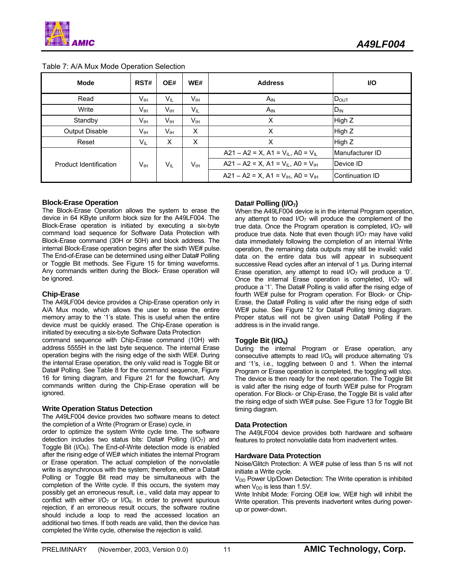| <b>Mode</b>            | RST#            | OE#             | WE#             | <b>Address</b>                                             | <b>VO</b>        |
|------------------------|-----------------|-----------------|-----------------|------------------------------------------------------------|------------------|
| Read                   | V <sub>IH</sub> | $V_{IL}$        | V <sub>IH</sub> | $A_{IN}$                                                   | $D_{\text{OUT}}$ |
| Write                  | V <sub>IH</sub> | V <sub>IH</sub> | $V_{IL}$        | $A_{IN}$                                                   | $D_{IN}$         |
| Standby                | V <sub>IH</sub> | V <sub>IH</sub> | V <sub>IH</sub> | X                                                          | High Z           |
| Output Disable         | Vıн             | Vıн             | X               | X                                                          | High Z           |
| Reset                  | $V_{IL}$        | X               | X               | X                                                          | High Z           |
|                        |                 |                 |                 | A21 – A2 = X, A1 = $V_{IL}$ , A0 = $V_{IL}$                | Manufacturer ID  |
| Product Identification | Vн              | VIL             | Vıн             | $A21 - A2 = X$ , $A1 = V_{IL}$ , $A0 = V_{IH}$             | Device ID        |
|                        |                 |                 |                 | $A21 - A2 = X$ . A1 = $V_{\text{H}}$ . A0 = $V_{\text{H}}$ | Continuation ID  |

#### Table 7: A/A Mux Mode Operation Selection

#### **Block-Erase Operation**

The Block-Erase Operation allows the system to erase the device in 64 KByte uniform block size for the A49LF004. The Block-Erase operation is initiated by executing a six-byte command load sequence for Software Data Protection with Block-Erase command (30H or 50H) and block address. The internal Block-Erase operation begins after the sixth WE# pulse. The End-of-Erase can be determined using either Data# Polling or Toggle Bit methods. See Figure 15 for timing waveforms. Any commands written during the Block- Erase operation will be ignored.

#### **Chip-Erase**

The A49LF004 device provides a Chip-Erase operation only in A/A Mux mode, which allows the user to erase the entire memory array to the '1's state. This is useful when the entire device must be quickly erased. The Chip-Erase operation is initiated by executing a six-byte Software Data Protection

command sequence with Chip-Erase command (10H) with address 5555H in the last byte sequence. The internal Erase operation begins with the rising edge of the sixth WE#. During the internal Erase operation, the only valid read is Toggle Bit or Data# Polling. See Table 8 for the command sequence, Figure 16 for timing diagram, and Figure 21 for the flowchart. Any commands written during the Chip-Erase operation will be ignored.

#### **Write Operation Status Detection**

The A49LF004 device provides two software means to detect the completion of a Write (Program or Erase) cycle, in

order to optimize the system Write cycle time. The software detection includes two status bits: Data# Polling (I/O7) and Toggle Bit ( $I/O<sub>6</sub>$ ). The End-of-Write detection mode is enabled after the rising edge of WE# which initiates the internal Program or Erase operation. The actual completion of the nonvolatile write is asynchronous with the system; therefore, either a Data# Polling or Toggle Bit read may be simultaneous with the completion of the Write cycle. If this occurs, the system may possibly get an erroneous result, i.e., valid data may appear to conflict with either  $I/O<sub>7</sub>$  or  $I/O<sub>6</sub>$ . In order to prevent spurious rejection, if an erroneous result occurs, the software routine should include a loop to read the accessed location an additional two times. If both reads are valid, then the device has completed the Write cycle, otherwise the rejection is valid.

#### Data# Polling (I/O<sub>7</sub>)

When the A49LF004 device is in the internal Program operation, any attempt to read  $I/O<sub>7</sub>$  will produce the complement of the true data. Once the Program operation is completed,  $I/O<sub>7</sub>$  will produce true data. Note that even though  $1/O<sub>7</sub>$  may have valid data immediately following the completion of an internal Write operation, the remaining data outputs may still be invalid: valid data on the entire data bus will appear in subsequent successive Read cycles after an interval of 1 µs. During internal Erase operation, any attempt to read  $1/O<sub>7</sub>$  will produce a '0'. Once the internal Erase operation is completed,  $I/O<sub>7</sub>$  will produce a '1'. The Data# Polling is valid after the rising edge of fourth WE# pulse for Program operation. For Block- or Chip-Erase, the Data# Polling is valid after the rising edge of sixth WE# pulse. See Figure 12 for Data# Polling timing diagram. Proper status will not be given using Data# Polling if the address is in the invalid range.

#### **Toggle Bit (I/O6)**

During the internal Program or Erase operation, any consecutive attempts to read  $IO<sub>6</sub>$  will produce alternating '0's and '1's, i.e., toggling between 0 and 1. When the internal Program or Erase operation is completed, the toggling will stop. The device is then ready for the next operation. The Toggle Bit is valid after the rising edge of fourth WE# pulse for Program operation. For Block- or Chip-Erase, the Toggle Bit is valid after the rising edge of sixth WE# pulse. See Figure 13 for Toggle Bit timing diagram.

#### **Data Protection**

The A49LF004 device provides both hardware and software features to protect nonvolatile data from inadvertent writes.

#### **Hardware Data Protection**

Noise/Glitch Protection: A WE# pulse of less than 5 ns will not initiate a Write cycle.

V<sub>DD</sub> Power Up/Down Detection: The Write operation is inhibited when  $V_{DD}$  is less than 1.5V.

Write Inhibit Mode: Forcing OE# low, WE# high will inhibit the Write operation. This prevents inadvertent writes during powerup or power-down.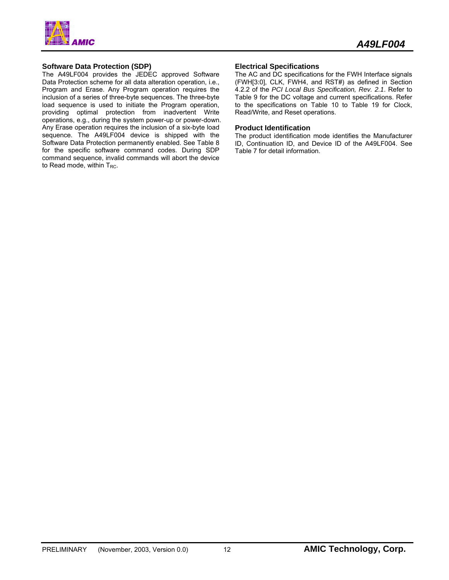

#### **Software Data Protection (SDP)**

The A49LF004 provides the JEDEC approved Software Data Protection scheme for all data alteration operation, i.e., Program and Erase. Any Program operation requires the inclusion of a series of three-byte sequences. The three-byte load sequence is used to initiate the Program operation, providing optimal protection from inadvertent Write operations, e.g., during the system power-up or power-down. Any Erase operation requires the inclusion of a six-byte load sequence. The A49LF004 device is shipped with the Software Data Protection permanently enabled. See Table 8 for the specific software command codes. During SDP command sequence, invalid commands will abort the device to Read mode, within  $T_{RC}$ .

#### **Electrical Specifications**

The AC and DC specifications for the FWH Interface signals (FWH[3:0], CLK, FWH4, and RST#) as defined in Section 4.2.2 of the *PCI Local Bus Specification, Rev. 2.1*. Refer to Table 9 for the DC voltage and current specifications. Refer to the specifications on Table 10 to Table 19 for Clock, Read/Write, and Reset operations.

#### **Product Identification**

The product identification mode identifies the Manufacturer ID, Continuation ID, and Device ID of the A49LF004. See Table 7 for detail information.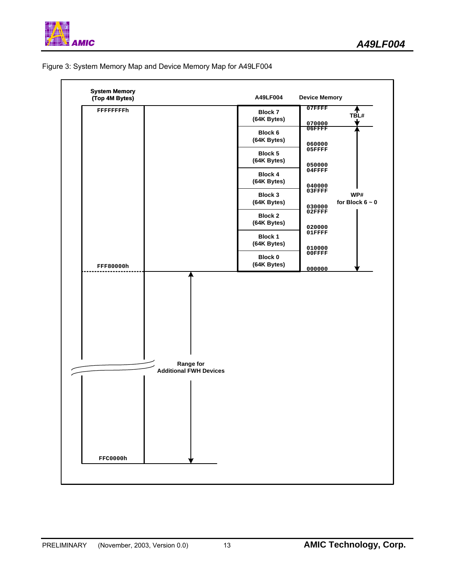

#### Figure 3: System Memory Map and Device Memory Map for A49LF004

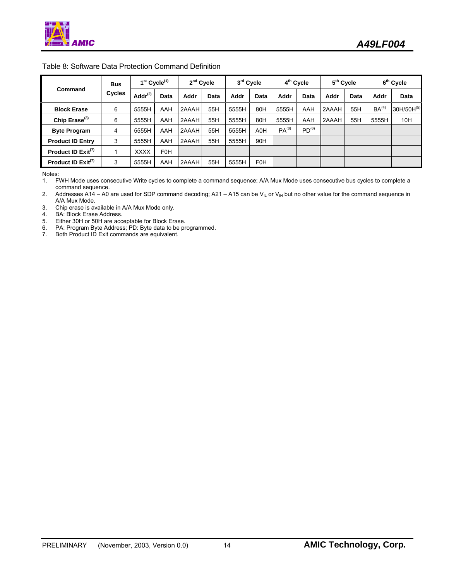| Command                        | <b>Bus</b><br><b>Cycles</b> | $1st$ Cycle <sup>(1)</sup> |                  | 2 <sup>nd</sup> Cycle |      | 3rd Cycle |            | 4 <sup>th</sup> Cycle |                   | 5 <sup>th</sup> Cycle |      | 6 <sup>th</sup> Cycle |            |
|--------------------------------|-----------------------------|----------------------------|------------------|-----------------------|------|-----------|------------|-----------------------|-------------------|-----------------------|------|-----------------------|------------|
|                                |                             | Add $r^{(2)}$              | Data             | Addr                  | Data | Addr      | Data       | Addr                  | Data              | Addr                  | Data | Addr                  | Data       |
| <b>Block Erase</b>             | 6                           | 5555H                      | AAH              | 2AAAH                 | 55H  | 5555H     | 80H        | 5555H                 | AAH               | 2AAAH                 | 55H  | BA <sup>(4)</sup>     | 30H/50H(5) |
| Chip Erase <sup>(3)</sup>      | 6                           | 5555H                      | AAH              | 2AAAH                 | 55H  | 5555H     | 80H        | 5555H                 | AAH               | 2AAAH                 | 55H  | 5555H                 | 10H        |
| <b>Byte Program</b>            | 4                           | 5555H                      | AAH              | 2AAAH                 | 55H  | 5555H     | A0H        | $PA^{(6)}$            | PD <sup>(6)</sup> |                       |      |                       |            |
| <b>Product ID Entry</b>        | 3                           | 5555H                      | AAH              | 2AAAH                 | 55H  | 5555H     | 90H        |                       |                   |                       |      |                       |            |
| Product ID Exit <sup>(7)</sup> |                             | <b>XXXX</b>                | F <sub>0</sub> H |                       |      |           |            |                       |                   |                       |      |                       |            |
| Product ID Exit <sup>(7)</sup> | 3                           | 5555H                      | AAH              | 2AAAH                 | 55H  | 5555H     | <b>F0H</b> |                       |                   |                       |      |                       |            |

#### Table 8: Software Data Protection Command Definition

Notes:

1. FWH Mode uses consecutive Write cycles to complete a command sequence; A/A Mux Mode uses consecutive bus cycles to complete a command sequence.

2. Addresses A14 – A0 are used for SDP command decoding; A21 – A15 can be V<sub>IL</sub> or V<sub>IH</sub> but no other value for the command sequence in A/A Mux Mode.

3. Chip erase is available in A/A Mux Mode only.

4. BA: Block Erase Address.

5. Either 30H or 50H are acceptable for Block Erase.

6. PA: Program Byte Address; PD: Byte data to be programmed.

7. Both Product ID Exit commands are equivalent.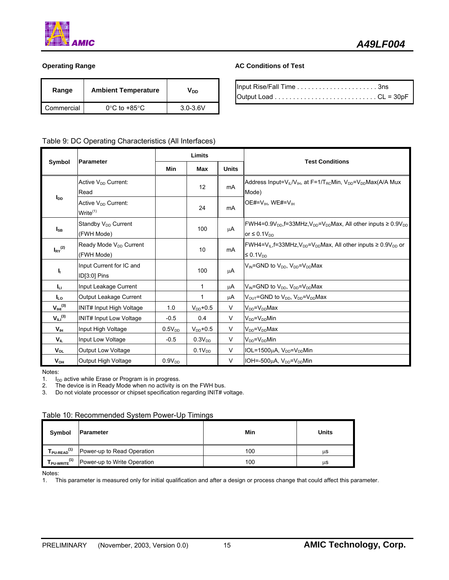

| Range      | <b>Ambient Temperature</b>        | VDD          |
|------------|-----------------------------------|--------------|
| Commercial | $0^{\circ}$ C to +85 $^{\circ}$ C | $3.0 - 3.6V$ |

#### **Operating Range AC Conditions of Test**

#### Table 9: DC Operating Characteristics (All Interfaces)

| <b>Parameter</b><br>Symbol |                                                         | Limits             |                    |              | <b>Test Conditions</b>                                                                                                           |  |
|----------------------------|---------------------------------------------------------|--------------------|--------------------|--------------|----------------------------------------------------------------------------------------------------------------------------------|--|
|                            |                                                         | <b>Min</b>         | Max                | <b>Units</b> |                                                                                                                                  |  |
|                            | Active V <sub>pp</sub> Current:<br>Read                 |                    | 12                 | mA           | Address Input= $V_{IL}/V_{IH}$ , at F=1/T <sub>RC</sub> Min, $V_{DD} = V_{DD}$ Max(A/A Mux<br>Mode)                              |  |
| <b>I</b> <sub>DD</sub>     | Active V <sub>DD</sub> Current:<br>Write <sup>(1)</sup> |                    | 24                 | <b>mA</b>    | OE#= $V_{H}$ , WE#= $V_{H}$                                                                                                      |  |
| $I_{SB}$                   | Standby V <sub>DD</sub> Current<br>(FWH Mode)           |                    | 100                | μA           | FWH4=0.9V <sub>DD</sub> ,f=33MHz,V <sub>DD</sub> =V <sub>DD</sub> Max, All other inputs $\geq 0.9V_{DD}$<br>or $\leq 0.1 V_{DD}$ |  |
| $I_{\rm RY}^{(2)}$         | Ready Mode V <sub>DD</sub> Current<br>(FWH Mode)        |                    | 10                 | <b>mA</b>    | FWH4= $V_{IL}$ , f=33MHz, $V_{DD}$ = $V_{DD}$ Max, All other inputs $\geq 0.9V_{DD}$ or<br>$\leq 0.1 V_{DD}$                     |  |
| Ч.                         | Input Current for IC and<br>ID[3:0] Pins                |                    | 100                | μA           | V <sub>IN</sub> =GND to V <sub>DD</sub> , V <sub>DD</sub> =V <sub>DD</sub> Max                                                   |  |
| Ιu,                        | Input Leakage Current                                   |                    | 1                  | μA           | $V_{IN}$ =GND to $V_{DD}$ , $V_{DD}$ = $V_{DD}$ Max                                                                              |  |
| I <sub>LO</sub>            | Output Leakage Current                                  |                    | 1                  | μA           | $V_{\text{OUT}}$ =GND to $V_{\text{DD}}$ , $V_{\text{DD}}=V_{\text{DD}}$ Max                                                     |  |
| $V_{\text{IHI}}^{(3)}$     | <b>INIT# Input High Voltage</b>                         | 1.0                | $V_{DD}$ +0.5      | $\vee$       | $V_{DD} = V_{DD}$ Max                                                                                                            |  |
| $V_{\text{ILI}}^{(3)}$     | <b>INIT# Input Low Voltage</b>                          | $-0.5$             | 0.4                | V            | $V_{DD} = V_{DD}$ Min                                                                                                            |  |
| V <sub>IH</sub>            | Input High Voltage                                      | 0.5V <sub>DD</sub> | $V_{DD}$ +0.5      | $\vee$       | $V_{DD} = V_{DD}$ Max                                                                                                            |  |
| V <sub>IL</sub>            | Input Low Voltage                                       | $-0.5$             | 0.3V <sub>DD</sub> | V            | $V_{DD} = V_{DD}$ Min                                                                                                            |  |
| $V_{OL}$                   | <b>Output Low Voltage</b>                               |                    | 0.1V <sub>DD</sub> | V            | IOL=1500 $\mu$ A, V <sub>DD</sub> =V <sub>DD</sub> Min                                                                           |  |
| $\mathsf{V}_{\mathsf{OH}}$ | Output High Voltage                                     | $0.9V_{DD}$        |                    | $\vee$       | IOH=-500 $\mu$ A, V <sub>pp</sub> =V <sub>pp</sub> Min                                                                           |  |

#### Notes:

1.  $I_{DD}$  active while Erase or Program is in progress.<br>2. The device is in Ready Mode when no activity is

The device is in Ready Mode when no activity is on the FWH bus.

3. Do not violate processor or chipset specification regarding INIT# voltage.

#### Table 10: Recommended System Power-Up Timings

| Symbol              | Parameter                   | Min | Units |
|---------------------|-----------------------------|-----|-------|
| (1)<br>PU-READ      | Power-up to Read Operation  | 100 | us    |
| (1)<br>$I$ PU-WRITE | Power-up to Write Operation | 100 | μS    |

Notes:

1. This parameter is measured only for initial qualification and after a design or process change that could affect this parameter.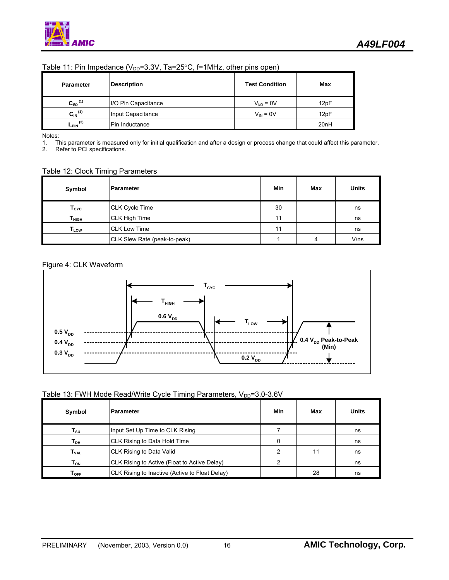| Table 11: Pin Impedance ( $V_{DD}$ =3.3V, Ta=25°C, f=1MHz, other pins open) |
|-----------------------------------------------------------------------------|
|-----------------------------------------------------------------------------|

| <b>Parameter</b>        | <b>Description</b>  | <b>Test Condition</b> | Max              |
|-------------------------|---------------------|-----------------------|------------------|
| $C_{VO}$ <sup>(1)</sup> | I/O Pin Capacitance | $V_{UQ} = 0V$         | 12pF             |
| $C_{\text{IN}}^{(1)}$   | Input Capacitance   | $V_{IN} = 0V$         | 12pF             |
| $-$ PIN $(2)$           | Pin Inductance      |                       | 20 <sub>nH</sub> |

Notes:

1. This parameter is measured only for initial qualification and after a design or process change that could affect this parameter.

Refer to PCI specifications.

#### Table 12: Clock Timing Parameters

| Symbol                       | lParameter                   | Min | Max | <b>Units</b> |
|------------------------------|------------------------------|-----|-----|--------------|
| $\mathsf{T}_{\texttt{CYC}}$  | <b>CLK Cycle Time</b>        | 30  |     | ns           |
| $\mathsf{T}_{\mathsf{HIGH}}$ | <b>CLK High Time</b>         | 11  |     | ns           |
| $\mathsf{T}_{\mathsf{LOW}}$  | <b>CLK Low Time</b>          | 11  |     | ns           |
|                              | CLK Slew Rate (peak-to-peak) |     | 4   | $V$ /ns      |

#### Figure 4: CLK Waveform



### Table 13: FWH Mode Read/Write Cycle Timing Parameters, V<sub>DD</sub>=3.0-3.6V

| Symbol                     | <b>IParameter</b>                              | Min | Max | Units |
|----------------------------|------------------------------------------------|-----|-----|-------|
| $\mathsf{T}_{\mathsf{SU}}$ | Input Set Up Time to CLK Rising                |     |     | ns    |
| Т <sub>рн</sub>            | CLK Rising to Data Hold Time                   |     |     | ns    |
| <b>T</b> <sub>VAL</sub>    | CLK Rising to Data Valid                       |     | 11  | ns    |
| Том                        | CLK Rising to Active (Float to Active Delay)   | 2   |     | ns    |
| $\Gamma_{\text{OFF}}$      | CLK Rising to Inactive (Active to Float Delay) |     | 28  | ns    |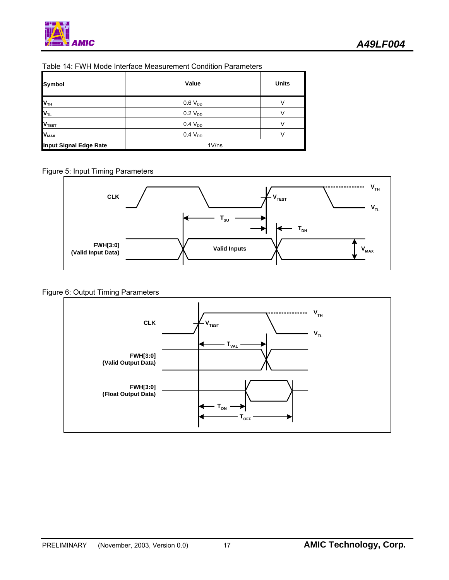

| Table 14: FWH Mode Interface Measurement Condition Parameters |  |
|---------------------------------------------------------------|--|
|                                                               |  |
|                                                               |  |

| <b>Symbol</b>           | Value               | <b>Units</b> |
|-------------------------|---------------------|--------------|
| V <sub>TH</sub>         | $0.6 V_{DD}$        | V            |
| <b>VTL</b>              | $0.2 V_{DD}$        |              |
| V <sub>TEST</sub>       | 0.4 V <sub>DD</sub> |              |
| <b>V</b> <sub>MAX</sub> | $0.4 V_{DD}$        | V            |
| Input Signal Edge Rate  | 1V/ns               |              |

Figure 5: Input Timing Parameters



### Figure 6: Output Timing Parameters

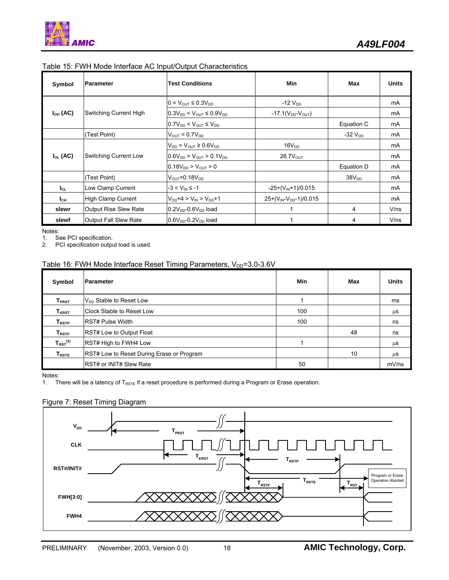| Symbol        | <b>Parameter</b>             | <b>Test Conditions</b>                       | Min                           | Max            | <b>Units</b> |
|---------------|------------------------------|----------------------------------------------|-------------------------------|----------------|--------------|
|               |                              | $0 < V_{\text{OUT}} \leq 0.3 V_{\text{DD}}$  | $-12$ $V_{DD}$                |                | mA           |
| $I_{OH}$ (AC) | Switching Current High       | $0.3V_{DD}$ < $V_{OUT}$ ≤ $0.9V_{DD}$        | $-17.1(V_{DD}-V_{OUT})$       |                | mA           |
|               |                              | $0.7V_{DD}$ < $V_{OUT} \leq V_{DD}$          |                               | Equation C     | mA           |
|               | (Test Point)                 | $V_{\text{OUT}} = 0.7V_{\text{DD}}$          |                               | $-32$ $V_{DD}$ | <b>mA</b>    |
|               |                              | $V_{DD}$ > $V_{OUT}$ ≥ 0.6 $V_{DD}$          | 16V <sub>DD</sub>             |                | mA           |
| $I_{OL}$ (AC) | Switching Current Low        | $0.6V_{DD}$ > $V_{OUT}$ > 0.1V <sub>DD</sub> | $26.7V_{OUT}$                 |                | mA           |
|               |                              | $0.18V_{DD}$ > $V_{OUT}$ > 0                 |                               | Equation D     | <b>mA</b>    |
|               | (Test Point)                 | $V_{\text{OUT}} = 0.18V_{\text{DD}}$         |                               | $38V_{DD}$     | mA           |
| $I_{CL}$      | Low Clamp Current            | $-3 < V_{\text{IN}} \le -1$                  | $-25+(V_{\text{IN}}+1)/0.015$ |                | mA           |
| $I_{CH}$      | <b>High Clamp Current</b>    | $V_{DD}+4 > V_{IN} > V_{DD}+1$               | $25+(V_{IN}-V_{DD}-1)/0.015$  |                | mA           |
| slewr         | <b>Output Rise Slew Rate</b> | $0.2VDD - 0.6VDD$ load                       |                               | 4              | V/ns         |
| slewf         | <b>Output Fall Slew Rate</b> | $0.6VDD - 0.2VDD$ load                       |                               | 4              | V/ns         |

#### Table 15: FWH Mode Interface AC Input/Output Characteristics

Notes:

1. See PCI specification.<br>2. PCI specification output

PCI specification output load is used.

### Table 16: FWH Mode Interface Reset Timing Parameters, V<sub>DD</sub>=3.0-3.6V

| Symbol                       | <b>Parameter</b>                                 | Min | Max | <b>Units</b> |
|------------------------------|--------------------------------------------------|-----|-----|--------------|
| $\mathsf{T}_{\textsf{PRST}}$ | $V_{DD}$ Stable to Reset Low                     |     |     | ms           |
| $\mathsf{T}_{\mathsf{KRST}}$ | <b>IClock Stable to Reset Low</b>                | 100 |     | $\mu$ S      |
| $T_{RSTP}$                   | <b>RST# Pulse Width</b>                          | 100 |     | ns           |
| $\mathsf{T}_{\mathsf{RSTF}}$ | <b>RST# Low to Output Float</b>                  |     | 48  | ns           |
| $T_{RST}^{(1)}$              | RST# High to FWH4 Low                            |     |     | $\mu$ S      |
| $T_{RSTE}$                   | <b>RST# Low to Reset During Erase or Program</b> |     | 10  | $\mu$ S      |
|                              | <b>IRST# or INIT# Slew Rate</b>                  | 50  |     | mV/ns        |

Notes:

1. There will be a latency of  $T_{RSTE}$  if a reset procedure is performed during a Program or Erase operation.

#### Figure 7: Reset Timing Diagram

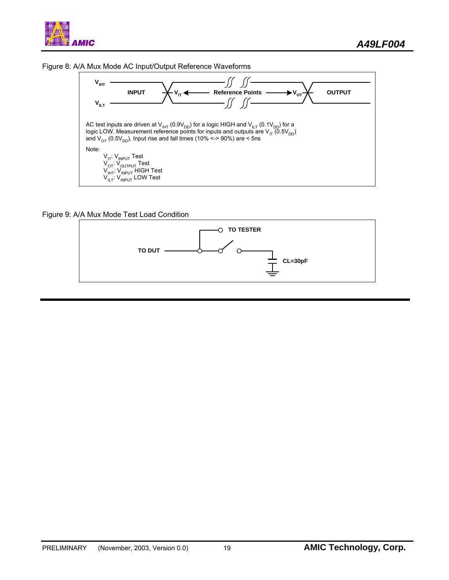





Figure 9: A/A Mux Mode Test Load Condition

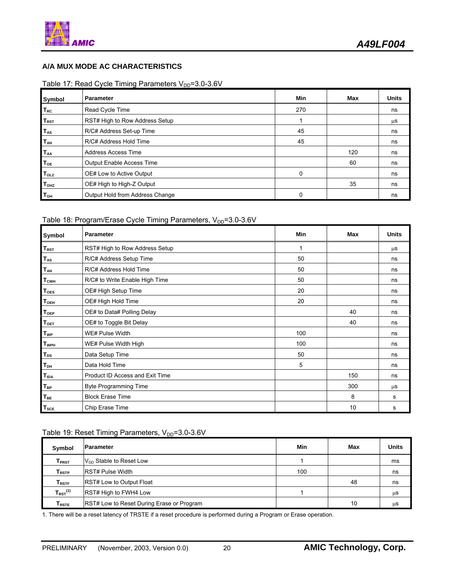### **A/A MUX MODE AC CHARACTERISTICS**

### Table 17: Read Cycle Timing Parameters  $V_{DD}$ =3.0-3.6V

| Symbol                  | <b>Parameter</b>                 | Min      | Max | <b>Units</b> |
|-------------------------|----------------------------------|----------|-----|--------------|
| <b>T<sub>RC</sub></b>   | Read Cycle Time                  | 270      |     | ns           |
| $T_{RST}$               | RST# High to Row Address Setup   |          |     | μS           |
| <b>TAS</b>              | R/C# Address Set-up Time         | 45       |     | ns           |
| <b>TAH</b>              | R/C# Address Hold Time           | 45       |     | ns           |
| <b>TAA</b>              | <b>Address Access Time</b>       |          | 120 | ns           |
| T <sub>OE</sub>         | <b>Output Enable Access Time</b> |          | 60  | ns           |
| <b>T</b> <sub>OLZ</sub> | OE# Low to Active Output         | $\Omega$ |     | ns           |
| <b>T</b> <sub>OHZ</sub> | OE# High to High-Z Output        |          | 35  | ns           |
| $T_{\text{OH}}$         | Output Hold from Address Change  | 0        |     | ns           |

### Table 18: Program/Erase Cycle Timing Parameters,  $V_{DD} = 3.0 - 3.6V$

| Symbol                  | Parameter                       | Min | Max | <b>Units</b> |
|-------------------------|---------------------------------|-----|-----|--------------|
| $T_{RST}$               | RST# High to Row Address Setup  | 1   |     | μS           |
| $T_{AS}$                | R/C# Address Setup Time         | 50  |     | ns           |
| $T_{AH}$                | R/C# Address Hold Time          | 50  |     | ns           |
| <b>TcwH</b>             | R/C# to Write Enable High Time  | 50  |     | ns           |
| T <sub>oes</sub>        | OE# High Setup Time             | 20  |     | ns           |
| $T_{OEH}$               | OE# High Hold Time              | 20  |     | ns           |
| <b>T</b> <sub>OEP</sub> | OE# to Data# Polling Delay      |     | 40  | ns           |
| T <sub>OET</sub>        | OE# to Toggle Bit Delay         |     | 40  | ns           |
| <b>T<sub>WP</sub></b>   | WE# Pulse Width                 | 100 |     | ns           |
| <b>TwpH</b>             | WE# Pulse Width High            | 100 |     | ns           |
| $T_{DS}$                | Data Setup Time                 | 50  |     | ns           |
| $T_{DH}$                | Data Hold Time                  | 5   |     | ns           |
| TIDA                    | Product ID Access and Exit Time |     | 150 | ns           |
| $T_{BP}$                | <b>Byte Programming Time</b>    |     | 300 | μS           |
| $T_{BE}$                | <b>Block Erase Time</b>         |     | 8   | s            |
| $T_{SCE}$               | Chip Erase Time                 |     | 10  | s            |

### Table 19: Reset Timing Parameters,  $V_{DD} = 3.0 - 3.6V$

| Symbol                       | <b>Parameter</b>                          | Min | Max | <b>Units</b> |
|------------------------------|-------------------------------------------|-----|-----|--------------|
| $\mathsf{T}_{\textsf{PRST}}$ | V <sub>DD</sub> Stable to Reset Low       |     |     | ms           |
| $\mathsf{T}_{\mathsf{RSTP}}$ | <b>IRST# Pulse Width</b>                  | 100 |     | ns           |
| ${\sf T}_{\sf RSTF}$         | <b>RST# Low to Output Float</b>           |     | 48  | ns           |
| $T_{RST}^{(1)}$              | RST# High to FWH4 Low                     |     |     | μS           |
| $T_{RSTE}$                   | RST# Low to Reset During Erase or Program |     | 10  | μS           |

1. There will be a reset latency of TRSTE if a reset procedure is performed during a Program or Erase operation.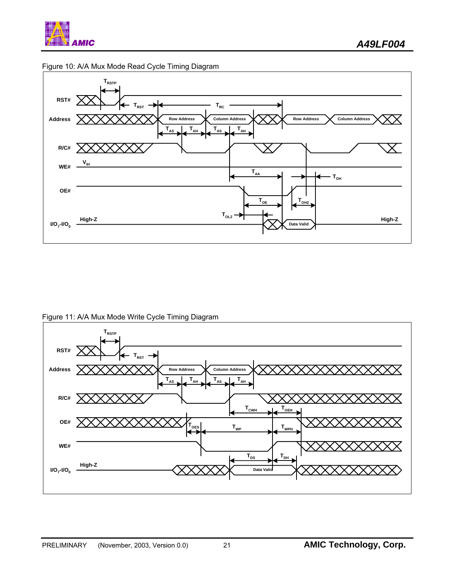







Figure 11: A/A Mux Mode Write Cycle Timing Diagram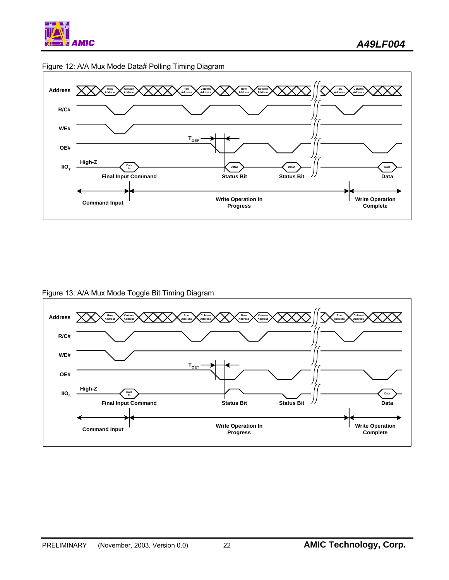





Figure 13: A/A Mux Mode Toggle Bit Timing Diagram

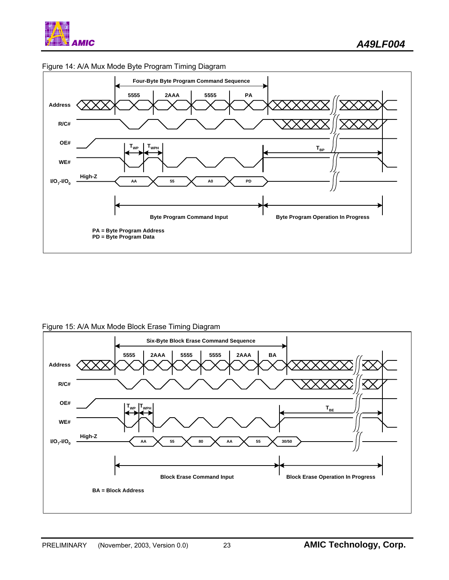

Figure 14: A/A Mux Mode Byte Program Timing Diagram

Figure 15: A/A Mux Mode Block Erase Timing Diagram

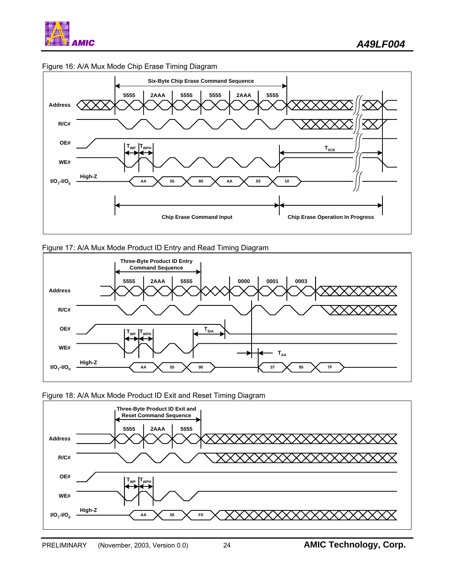



#### Figure 16: A/A Mux Mode Chip Erase Timing Diagram





Figure 18: A/A Mux Mode Product ID Exit and Reset Timing Diagram

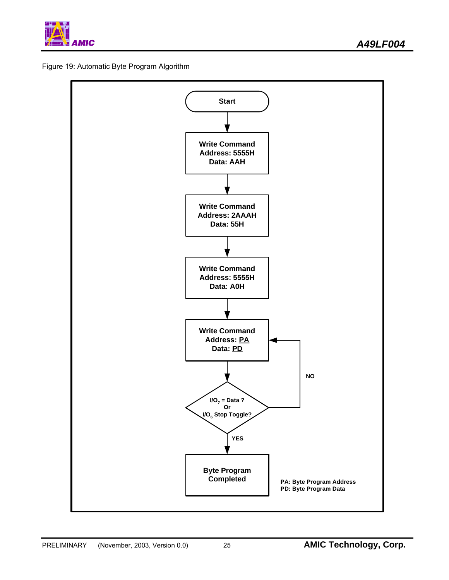

Figure 19: Automatic Byte Program Algorithm

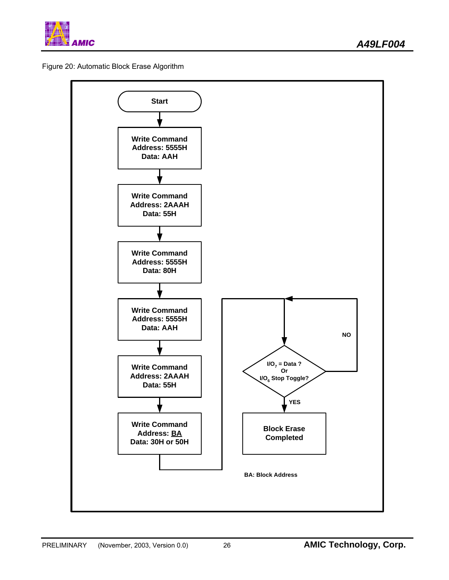

Figure 20: Automatic Block Erase Algorithm

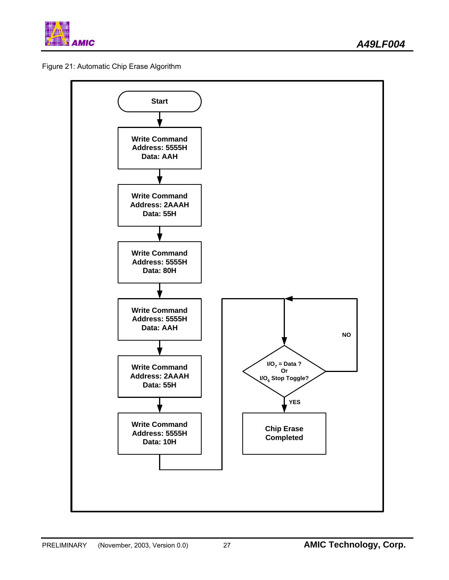

Figure 21: Automatic Chip Erase Algorithm

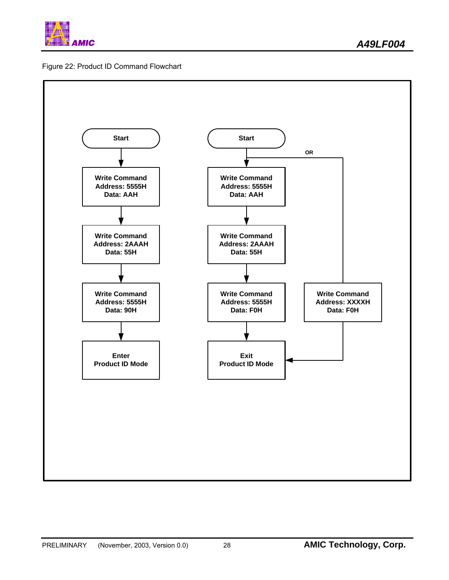

### Figure 22: Product ID Command Flowchart

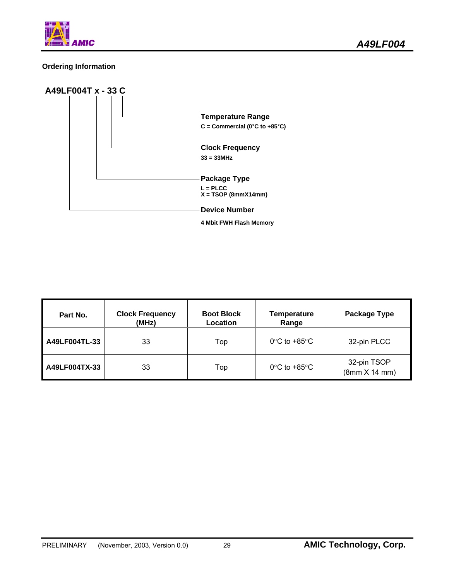

### **Ordering Information**



| Part No.      | <b>Clock Frequency</b><br>(MHz) | <b>Boot Block</b><br>Location | <b>Temperature</b><br>Range       | Package Type                |
|---------------|---------------------------------|-------------------------------|-----------------------------------|-----------------------------|
| A49LF004TL-33 | 33                              | Top                           | $0^{\circ}$ C to +85 $^{\circ}$ C | 32-pin PLCC                 |
| A49LF004TX-33 | 33                              | Top                           | $0^{\circ}$ C to +85 $^{\circ}$ C | 32-pin TSOP<br>(8mm X 14mm) |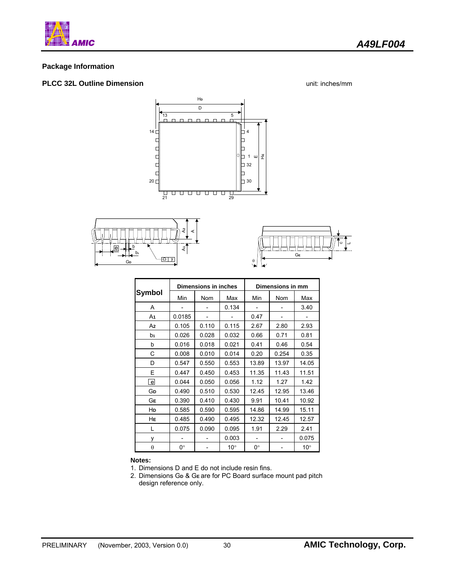

#### **Package Information**

#### **PLCC 32L Outline Dimension** unit: inches/mm







|               |        | Dimensions in inches |              | Dimensions in mm |            |              |
|---------------|--------|----------------------|--------------|------------------|------------|--------------|
| <b>Symbol</b> | Min    | Nom                  | Max          | Min              | <b>Nom</b> | Max          |
| A             |        |                      | 0.134        | -                |            | 3.40         |
| A1            | 0.0185 |                      |              | 0.47             |            |              |
| A2            | 0.105  | 0.110                | 0.115        | 2.67             | 2.80       | 2.93         |
| b1            | 0.026  | 0.028                | 0.032        | 0.66             | 0.71       | 0.81         |
| b             | 0.016  | 0.018                | 0.021        | 0.41             | 0.46       | 0.54         |
| С             | 0.008  | 0.010                | 0.014        | 0.20             | 0.254      | 0.35         |
| D             | 0.547  | 0.550                | 0.553        | 13.89            | 13.97      | 14.05        |
| E             | 0.447  | 0.450                | 0.453        | 11.35            | 11.43      | 11.51        |
| e             | 0.044  | 0.050                | 0.056        | 1.12             | 1.27       | 1.42         |
| Gр            | 0.490  | 0.510                | 0.530        | 12.45            | 12.95      | 13.46        |
| GЕ            | 0.390  | 0.410                | 0.430        | 9.91             | 10.41      | 10.92        |
| HD            | 0.585  | 0.590                | 0.595        | 14.86            | 14.99      | 15.11        |
| HЕ            | 0.485  | 0.490                | 0.495        | 12.32            | 12.45      | 12.57        |
| L             | 0.075  | 0.090                | 0.095        | 1.91             | 2.29       | 2.41         |
| ٧             |        |                      | 0.003        |                  |            | 0.075        |
| $\theta$      | 0°     |                      | $10^{\circ}$ | 0°               |            | $10^{\circ}$ |

#### **Notes:**

1. Dimensions D and E do not include resin fins.

2. Dimensions G**D** & G**<sup>E</sup>** are for PC Board surface mount pad pitch design reference only.